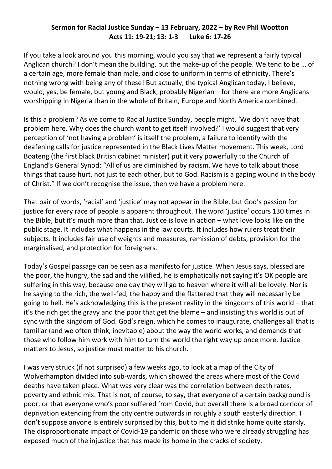## **Sermon for Racial Justice Sunday – 13 February, 2022 – by Rev Phil Wootton Acts 11: 19-21; 13: 1-3 Luke 6: 17-26**

If you take a look around you this morning, would you say that we represent a fairly typical Anglican church? I don't mean the building, but the make-up of the people. We tend to be … of a certain age, more female than male, and close to uniform in terms of ethnicity. There's nothing wrong with being any of these! But actually, the typical Anglican today, I believe, would, yes, be female, but young and Black, probably Nigerian – for there are more Anglicans worshipping in Nigeria than in the whole of Britain, Europe and North America combined.

Is this a problem? As we come to Racial Justice Sunday, people might, 'We don't have that problem here. Why does the church want to get itself involved?' I would suggest that very perception of 'not having a problem' is itself the problem, a failure to identify with the deafening calls for justice represented in the Black Lives Matter movement. This week, Lord Boateng (the first black British cabinet minister) put it very powerfully to the Church of England's General Synod: "All of us are diminished by racism. We have to talk about those things that cause hurt, not just to each other, but to God. Racism is a gaping wound in the body of Christ." If we don't recognise the issue, then we have a problem here.

That pair of words, 'racial' and 'justice' may not appear in the Bible, but God's passion for justice for every race of people is apparent throughout. The word 'justice' occurs 130 times in the Bible, but it's much more than that. Justice is love in action – what love looks like on the public stage. It includes what happens in the law courts. It includes how rulers treat their subjects. It includes fair use of weights and measures, remission of debts, provision for the marginalised, and protection for foreigners.

Today's Gospel passage can be seen as a manifesto for justice. When Jesus says, blessed are the poor, the hungry, the sad and the vilified, he is emphatically not saying it's OK people are suffering in this way, because one day they will go to heaven where it will all be lovely. Nor is he saying to the rich, the well-fed, the happy and the flattered that they will necessarily be going to hell. He's acknowledging this is the present reality in the kingdoms of this world – that it's the rich get the gravy and the poor that get the blame – and insisting this world is out of sync with the kingdom of God. God's reign, which he comes to inaugurate, challenges all that is familiar (and we often think, inevitable) about the way the world works, and demands that those who follow him work with him to turn the world the right way up once more. Justice matters to Jesus, so justice must matter to his church.

I was very struck (if not surprised) a few weeks ago, to look at a map of the City of Wolverhampton divided into sub-wards, which showed the areas where most of the Covid deaths have taken place. What was very clear was the correlation between death rates, poverty and ethnic mix. That is not, of course, to say, that everyone of a certain background is poor, or that everyone who's poor suffered from Covid, but overall there is a broad corridor of deprivation extending from the city centre outwards in roughly a south easterly direction. I don't suppose anyone is entirely surprised by this, but to me it did strike home quite starkly. The disproportionate impact of Covid-19 pandemic on those who were already struggling has exposed much of the injustice that has made its home in the cracks of society.